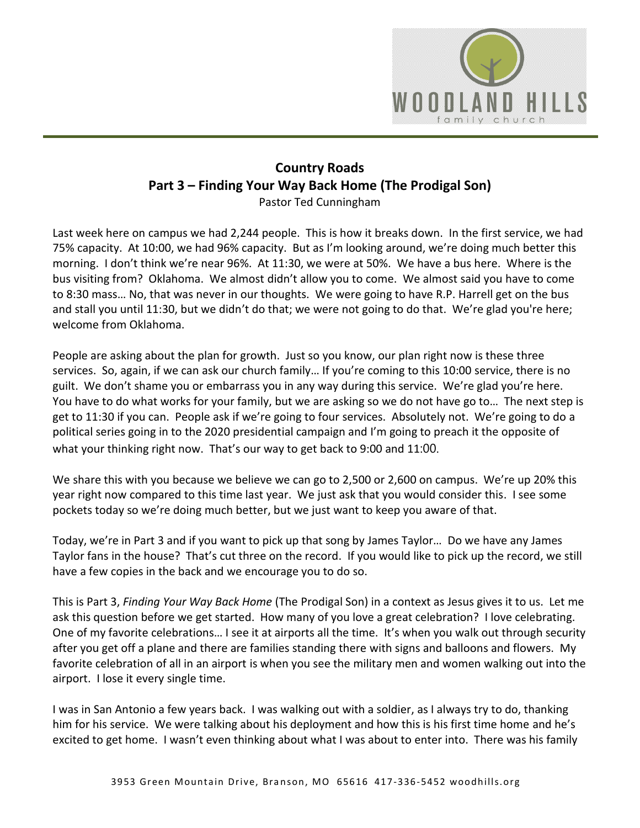

## **Country Roads Part 3 – Finding Your Way Back Home (The Prodigal Son)**  Pastor Ted Cunningham

Last week here on campus we had 2,244 people. This is how it breaks down. In the first service, we had 75% capacity. At 10:00, we had 96% capacity. But as I'm looking around, we're doing much better this morning. I don't think we're near 96%. At 11:30, we were at 50%. We have a bus here. Where is the bus visiting from? Oklahoma. We almost didn't allow you to come. We almost said you have to come to 8:30 mass… No, that was never in our thoughts. We were going to have R.P. Harrell get on the bus and stall you until 11:30, but we didn't do that; we were not going to do that. We're glad you're here; welcome from Oklahoma.

People are asking about the plan for growth. Just so you know, our plan right now is these three services. So, again, if we can ask our church family… If you're coming to this 10:00 service, there is no guilt. We don't shame you or embarrass you in any way during this service. We're glad you're here. You have to do what works for your family, but we are asking so we do not have go to… The next step is get to 11:30 if you can. People ask if we're going to four services. Absolutely not. We're going to do a political series going in to the 2020 presidential campaign and I'm going to preach it the opposite of what your thinking right now. That's our way to get back to 9:00 and 11:00.

We share this with you because we believe we can go to 2,500 or 2,600 on campus. We're up 20% this year right now compared to this time last year. We just ask that you would consider this. I see some pockets today so we're doing much better, but we just want to keep you aware of that.

Today, we're in Part 3 and if you want to pick up that song by James Taylor… Do we have any James Taylor fans in the house? That's cut three on the record. If you would like to pick up the record, we still have a few copies in the back and we encourage you to do so.

This is Part 3, *Finding Your Way Back Home* (The Prodigal Son) in a context as Jesus gives it to us. Let me ask this question before we get started. How many of you love a great celebration? I love celebrating. One of my favorite celebrations… I see it at airports all the time. It's when you walk out through security after you get off a plane and there are families standing there with signs and balloons and flowers. My favorite celebration of all in an airport is when you see the military men and women walking out into the airport. I lose it every single time.

I was in San Antonio a few years back. I was walking out with a soldier, as I always try to do, thanking him for his service. We were talking about his deployment and how this is his first time home and he's excited to get home. I wasn't even thinking about what I was about to enter into. There was his family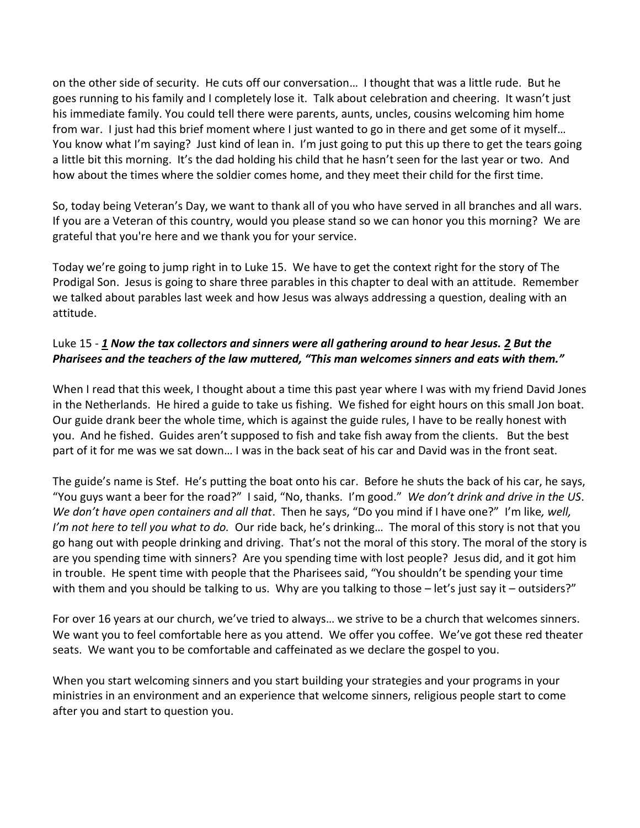on the other side of security. He cuts off our conversation… I thought that was a little rude. But he goes running to his family and I completely lose it. Talk about celebration and cheering. It wasn't just his immediate family. You could tell there were parents, aunts, uncles, cousins welcoming him home from war. I just had this brief moment where I just wanted to go in there and get some of it myself… You know what I'm saying? Just kind of lean in. I'm just going to put this up there to get the tears going a little bit this morning. It's the dad holding his child that he hasn't seen for the last year or two. And how about the times where the soldier comes home, and they meet their child for the first time.

So, today being Veteran's Day, we want to thank all of you who have served in all branches and all wars. If you are a Veteran of this country, would you please stand so we can honor you this morning? We are grateful that you're here and we thank you for your service.

Today we're going to jump right in to Luke 15. We have to get the context right for the story of The Prodigal Son. Jesus is going to share three parables in this chapter to deal with an attitude. Remember we talked about parables last week and how Jesus was always addressing a question, dealing with an attitude.

## Luke 15 - *[1](https://www.studylight.org/desk/?q=lu%2015:1&t1=en_niv&sr=1) Now the tax collectors and sinners were all gathering around to hear Jesus. [2](https://www.studylight.org/desk/?q=lu%2015:2&t1=en_niv&sr=1) But the Pharisees and the teachers of the law muttered, "This man welcomes sinners and eats with them."*

When I read that this week, I thought about a time this past year where I was with my friend David Jones in the Netherlands. He hired a guide to take us fishing. We fished for eight hours on this small Jon boat. Our guide drank beer the whole time, which is against the guide rules, I have to be really honest with you. And he fished. Guides aren't supposed to fish and take fish away from the clients. But the best part of it for me was we sat down… I was in the back seat of his car and David was in the front seat.

The guide's name is Stef. He's putting the boat onto his car. Before he shuts the back of his car, he says, "You guys want a beer for the road?" I said, "No, thanks. I'm good." *We don't drink and drive in the US*. *We don't have open containers and all that*. Then he says, "Do you mind if I have one?" I'm like*, well, I'm not here to tell you what to do.* Our ride back, he's drinking… The moral of this story is not that you go hang out with people drinking and driving. That's not the moral of this story. The moral of the story is are you spending time with sinners? Are you spending time with lost people? Jesus did, and it got him in trouble. He spent time with people that the Pharisees said, "You shouldn't be spending your time with them and you should be talking to us. Why are you talking to those – let's just say it – outsiders?"

For over 16 years at our church, we've tried to always… we strive to be a church that welcomes sinners. We want you to feel comfortable here as you attend. We offer you coffee. We've got these red theater seats. We want you to be comfortable and caffeinated as we declare the gospel to you.

When you start welcoming sinners and you start building your strategies and your programs in your ministries in an environment and an experience that welcome sinners, religious people start to come after you and start to question you.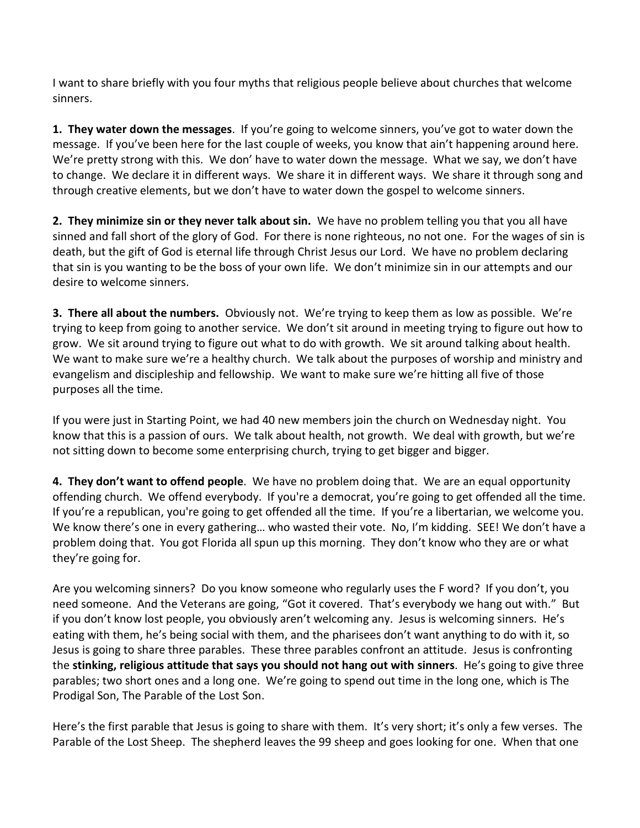I want to share briefly with you four myths that religious people believe about churches that welcome sinners.

**1. They water down the messages**. If you're going to welcome sinners, you've got to water down the message. If you've been here for the last couple of weeks, you know that ain't happening around here. We're pretty strong with this. We don' have to water down the message. What we say, we don't have to change. We declare it in different ways. We share it in different ways. We share it through song and through creative elements, but we don't have to water down the gospel to welcome sinners.

**2. They minimize sin or they never talk about sin.** We have no problem telling you that you all have sinned and fall short of the glory of God. For there is none righteous, no not one. For the wages of sin is death, but the gift of God is eternal life through Christ Jesus our Lord. We have no problem declaring that sin is you wanting to be the boss of your own life. We don't minimize sin in our attempts and our desire to welcome sinners.

**3. There all about the numbers.** Obviously not. We're trying to keep them as low as possible. We're trying to keep from going to another service. We don't sit around in meeting trying to figure out how to grow. We sit around trying to figure out what to do with growth. We sit around talking about health. We want to make sure we're a healthy church. We talk about the purposes of worship and ministry and evangelism and discipleship and fellowship. We want to make sure we're hitting all five of those purposes all the time.

If you were just in Starting Point, we had 40 new members join the church on Wednesday night. You know that this is a passion of ours. We talk about health, not growth. We deal with growth, but we're not sitting down to become some enterprising church, trying to get bigger and bigger.

**4. They don't want to offend people**. We have no problem doing that. We are an equal opportunity offending church. We offend everybody. If you're a democrat, you're going to get offended all the time. If you're a republican, you're going to get offended all the time. If you're a libertarian, we welcome you. We know there's one in every gathering… who wasted their vote. No, I'm kidding. SEE! We don't have a problem doing that. You got Florida all spun up this morning. They don't know who they are or what they're going for.

Are you welcoming sinners? Do you know someone who regularly uses the F word? If you don't, you need someone. And the Veterans are going, "Got it covered. That's everybody we hang out with." But if you don't know lost people, you obviously aren't welcoming any. Jesus is welcoming sinners. He's eating with them, he's being social with them, and the pharisees don't want anything to do with it, so Jesus is going to share three parables. These three parables confront an attitude. Jesus is confronting the **stinking, religious attitude that says you should not hang out with sinners**. He's going to give three parables; two short ones and a long one. We're going to spend out time in the long one, which is The Prodigal Son, The Parable of the Lost Son.

Here's the first parable that Jesus is going to share with them. It's very short; it's only a few verses. The Parable of the Lost Sheep. The shepherd leaves the 99 sheep and goes looking for one. When that one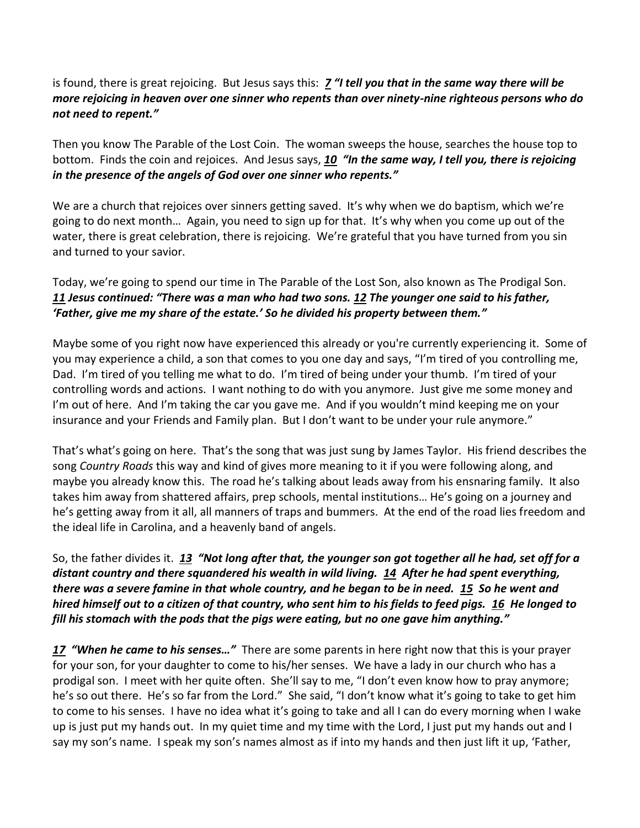## is found, there is great rejoicing. But Jesus says this: *[7](https://www.studylight.org/desk/?q=lu%2015:7&t1=en_niv&sr=1) "I tell you that in the same way there will be more rejoicing in heaven over one sinner who repents than over ninety-nine righteous persons who do not need to repent."*

Then you know The Parable of the Lost Coin. The woman sweeps the house, searches the house top to bottom. Finds the coin and rejoices. And Jesus says, *[10](https://www.studylight.org/desk/?q=lu%2015:10&t1=en_niv&sr=1) "In the same way, I tell you, there is rejoicing in the presence of the angels of God over one sinner who repents."*

We are a church that rejoices over sinners getting saved. It's why when we do baptism, which we're going to do next month… Again, you need to sign up for that. It's why when you come up out of the water, there is great celebration, there is rejoicing. We're grateful that you have turned from you sin and turned to your savior.

Today, we're going to spend our time in The Parable of the Lost Son, also known as The Prodigal Son. *[11](https://www.studylight.org/desk/?q=lu%2015:11&t1=en_niv&sr=1) Jesus continued: "There was a man who had two sons. [12](https://www.studylight.org/desk/?q=lu%2015:12&t1=en_niv&sr=1) The younger one said to his father, 'Father, give me my share of the estate.' So he divided his property between them."*

Maybe some of you right now have experienced this already or you're currently experiencing it. Some of you may experience a child, a son that comes to you one day and says, "I'm tired of you controlling me, Dad. I'm tired of you telling me what to do. I'm tired of being under your thumb. I'm tired of your controlling words and actions. I want nothing to do with you anymore. Just give me some money and I'm out of here. And I'm taking the car you gave me. And if you wouldn't mind keeping me on your insurance and your Friends and Family plan. But I don't want to be under your rule anymore."

That's what's going on here. That's the song that was just sung by James Taylor. His friend describes the song *Country Roads* this way and kind of gives more meaning to it if you were following along, and maybe you already know this. The road he's talking about leads away from his ensnaring family. It also takes him away from shattered affairs, prep schools, mental institutions… He's going on a journey and he's getting away from it all, all manners of traps and bummers. At the end of the road lies freedom and the ideal life in Carolina, and a heavenly band of angels.

So, the father divides it. *[13](https://www.studylight.org/desk/?q=lu%2015:13&t1=en_niv&sr=1) "Not long after that, the younger son got together all he had, set off for a distant country and there squandered his wealth in wild living. [14](https://www.studylight.org/desk/?q=lu%2015:14&t1=en_niv&sr=1) After he had spent everything, there was a severe famine in that whole country, and he began to be in need. [15](https://www.studylight.org/desk/?q=lu%2015:15&t1=en_niv&sr=1) So he went and hired himself out to a citizen of that country, who sent him to his fields to feed pigs. [16](https://www.studylight.org/desk/?q=lu%2015:16&t1=en_niv&sr=1) He longed to fill his stomach with the pods that the pigs were eating, but no one gave him anything."*

*[17](https://www.studylight.org/desk/?q=lu%2015:17&t1=en_niv&sr=1) "When he came to his senses…"* There are some parents in here right now that this is your prayer for your son, for your daughter to come to his/her senses. We have a lady in our church who has a prodigal son. I meet with her quite often. She'll say to me, "I don't even know how to pray anymore; he's so out there. He's so far from the Lord." She said, "I don't know what it's going to take to get him to come to his senses. I have no idea what it's going to take and all I can do every morning when I wake up is just put my hands out. In my quiet time and my time with the Lord, I just put my hands out and I say my son's name. I speak my son's names almost as if into my hands and then just lift it up, 'Father,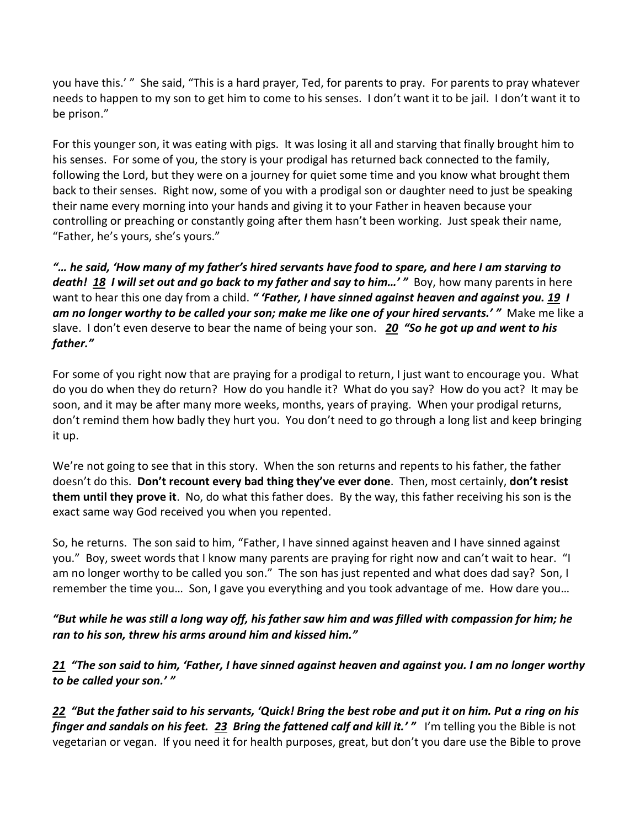you have this.' " She said, "This is a hard prayer, Ted, for parents to pray. For parents to pray whatever needs to happen to my son to get him to come to his senses. I don't want it to be jail. I don't want it to be prison."

For this younger son, it was eating with pigs. It was losing it all and starving that finally brought him to his senses. For some of you, the story is your prodigal has returned back connected to the family, following the Lord, but they were on a journey for quiet some time and you know what brought them back to their senses. Right now, some of you with a prodigal son or daughter need to just be speaking their name every morning into your hands and giving it to your Father in heaven because your controlling or preaching or constantly going after them hasn't been working. Just speak their name, "Father, he's yours, she's yours."

*"… he said, 'How many of my father's hired servants have food to spare, and here I am starving to death! [18](https://www.studylight.org/desk/?q=lu%2015:18&t1=en_niv&sr=1) I will set out and go back to my father and say to him…' "* Boy, how many parents in here want to hear this one day from a child. *" 'Father, I have sinned against heaven and against you. [19](https://www.studylight.org/desk/?q=lu%2015:19&t1=en_niv&sr=1) I am no longer worthy to be called your son; make me like one of your hired servants.' "* Make me like a slave. I don't even deserve to bear the name of being your son. *[20](https://www.studylight.org/desk/?q=lu%2015:20&t1=en_niv&sr=1) "So he got up and went to his father."*

For some of you right now that are praying for a prodigal to return, I just want to encourage you. What do you do when they do return? How do you handle it? What do you say? How do you act? It may be soon, and it may be after many more weeks, months, years of praying. When your prodigal returns, don't remind them how badly they hurt you. You don't need to go through a long list and keep bringing it up.

We're not going to see that in this story. When the son returns and repents to his father, the father doesn't do this. **Don't recount every bad thing they've ever done**. Then, most certainly, **don't resist them until they prove it**. No, do what this father does. By the way, this father receiving his son is the exact same way God received you when you repented.

So, he returns. The son said to him, "Father, I have sinned against heaven and I have sinned against you." Boy, sweet words that I know many parents are praying for right now and can't wait to hear. "I am no longer worthy to be called you son." The son has just repented and what does dad say? Son, I remember the time you… Son, I gave you everything and you took advantage of me. How dare you…

*"But while he was still a long way off, his father saw him and was filled with compassion for him; he ran to his son, threw his arms around him and kissed him."*

*[21](https://www.studylight.org/desk/?q=lu%2015:21&t1=en_niv&sr=1) "The son said to him, 'Father, I have sinned against heaven and against you. I am no longer worthy to be called your son.' "*

*[22](https://www.studylight.org/desk/?q=lu%2015:22&t1=en_niv&sr=1) "But the father said to his servants, 'Quick! Bring the best robe and put it on him. Put a ring on his finger and sandals on his feet. [23](https://www.studylight.org/desk/?q=lu%2015:23&t1=en_niv&sr=1) Bring the fattened calf and kill it.' "* I'm telling you the Bible is not vegetarian or vegan. If you need it for health purposes, great, but don't you dare use the Bible to prove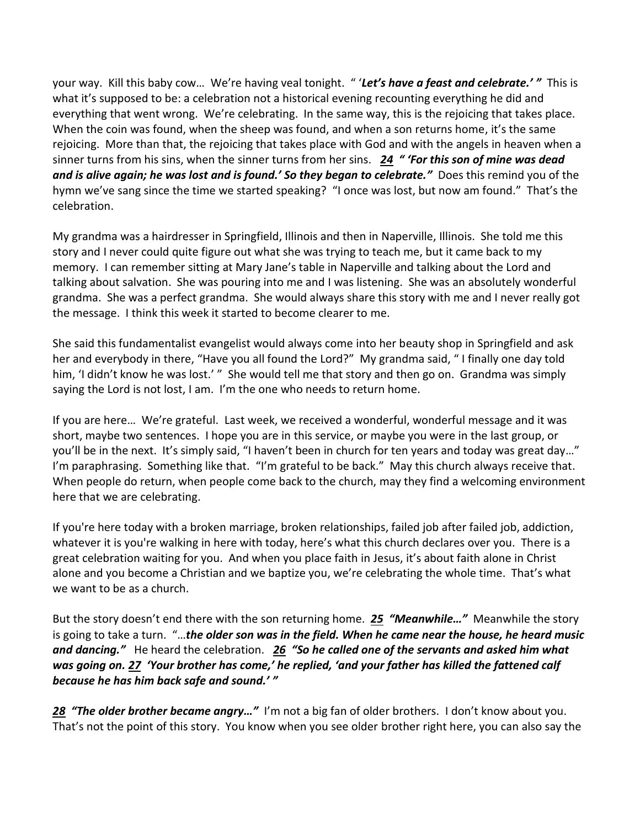your way. Kill this baby cow… We're having veal tonight. " '*Let's have a feast and celebrate.' "* This is what it's supposed to be: a celebration not a historical evening recounting everything he did and everything that went wrong. We're celebrating. In the same way, this is the rejoicing that takes place. When the coin was found, when the sheep was found, and when a son returns home, it's the same rejoicing. More than that, the rejoicing that takes place with God and with the angels in heaven when a sinner turns from his sins, when the sinner turns from her sins. *[24](https://www.studylight.org/desk/?q=lu%2015:24&t1=en_niv&sr=1) " 'For this son of mine was dead*  and is alive again; he was lost and is found.' So they began to celebrate." Does this remind you of the hymn we've sang since the time we started speaking? "I once was lost, but now am found." That's the celebration.

My grandma was a hairdresser in Springfield, Illinois and then in Naperville, Illinois. She told me this story and I never could quite figure out what she was trying to teach me, but it came back to my memory. I can remember sitting at Mary Jane's table in Naperville and talking about the Lord and talking about salvation. She was pouring into me and I was listening. She was an absolutely wonderful grandma. She was a perfect grandma. She would always share this story with me and I never really got the message. I think this week it started to become clearer to me.

She said this fundamentalist evangelist would always come into her beauty shop in Springfield and ask her and everybody in there, "Have you all found the Lord?" My grandma said, " I finally one day told him, 'I didn't know he was lost.' " She would tell me that story and then go on. Grandma was simply saying the Lord is not lost, I am. I'm the one who needs to return home.

If you are here… We're grateful. Last week, we received a wonderful, wonderful message and it was short, maybe two sentences. I hope you are in this service, or maybe you were in the last group, or you'll be in the next. It's simply said, "I haven't been in church for ten years and today was great day…" I'm paraphrasing. Something like that. "I'm grateful to be back." May this church always receive that. When people do return, when people come back to the church, may they find a welcoming environment here that we are celebrating.

If you're here today with a broken marriage, broken relationships, failed job after failed job, addiction, whatever it is you're walking in here with today, here's what this church declares over you. There is a great celebration waiting for you. And when you place faith in Jesus, it's about faith alone in Christ alone and you become a Christian and we baptize you, we're celebrating the whole time. That's what we want to be as a church.

But the story doesn't end there with the son returning home. *[25](https://www.studylight.org/desk/?q=lu%2015:25&t1=en_niv&sr=1) "Meanwhile…"* Meanwhile the story is going to take a turn. "…*the older son was in the field. When he came near the house, he heard music and dancing."* He heard the celebration. *[26](https://www.studylight.org/desk/?q=lu%2015:26&t1=en_niv&sr=1) "So he called one of the servants and asked him what was going on[. 27](https://www.studylight.org/desk/?q=lu%2015:27&t1=en_niv&sr=1) 'Your brother has come,' he replied, 'and your father has killed the fattened calf because he has him back safe and sound.' "*

[28](https://www.studylight.org/desk/?q=lu%2015:28&t1=en_niv&sr=1) "The older brother became angry..." I'm not a big fan of older brothers. I don't know about you. That's not the point of this story. You know when you see older brother right here, you can also say the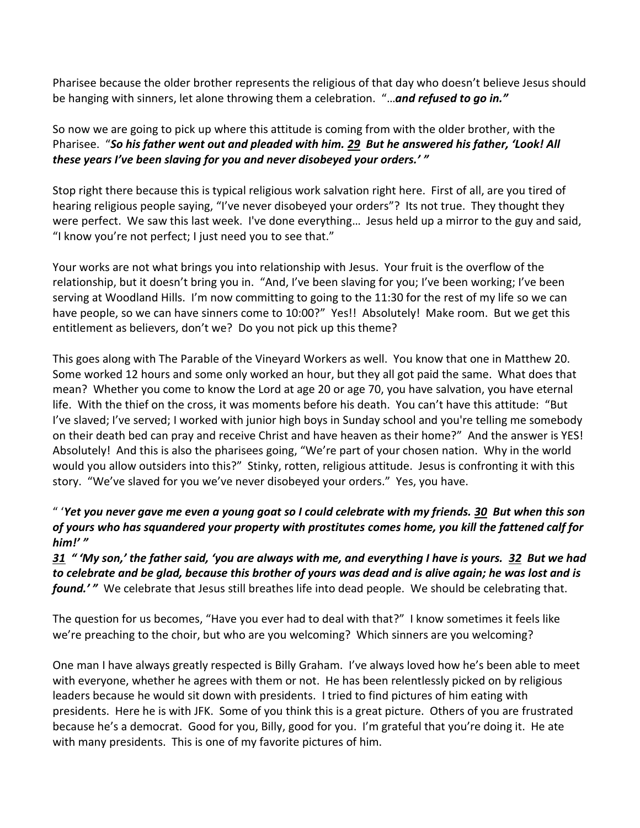Pharisee because the older brother represents the religious of that day who doesn't believe Jesus should be hanging with sinners, let alone throwing them a celebration. "…*and refused to go in."* 

So now we are going to pick up where this attitude is coming from with the older brother, with the Pharisee. "*So his father went out and pleaded with him. [29](https://www.studylight.org/desk/?q=lu%2015:29&t1=en_niv&sr=1) But he answered his father, 'Look! All these years I've been slaving for you and never disobeyed your orders.' "* 

Stop right there because this is typical religious work salvation right here. First of all, are you tired of hearing religious people saying, "I've never disobeyed your orders"? Its not true. They thought they were perfect. We saw this last week. I've done everything… Jesus held up a mirror to the guy and said, "I know you're not perfect; I just need you to see that."

Your works are not what brings you into relationship with Jesus. Your fruit is the overflow of the relationship, but it doesn't bring you in. "And, I've been slaving for you; I've been working; I've been serving at Woodland Hills. I'm now committing to going to the 11:30 for the rest of my life so we can have people, so we can have sinners come to 10:00?" Yes!! Absolutely! Make room. But we get this entitlement as believers, don't we? Do you not pick up this theme?

This goes along with The Parable of the Vineyard Workers as well. You know that one in Matthew 20. Some worked 12 hours and some only worked an hour, but they all got paid the same. What does that mean? Whether you come to know the Lord at age 20 or age 70, you have salvation, you have eternal life. With the thief on the cross, it was moments before his death. You can't have this attitude: "But I've slaved; I've served; I worked with junior high boys in Sunday school and you're telling me somebody on their death bed can pray and receive Christ and have heaven as their home?" And the answer is YES! Absolutely! And this is also the pharisees going, "We're part of your chosen nation. Why in the world would you allow outsiders into this?" Stinky, rotten, religious attitude. Jesus is confronting it with this story. "We've slaved for you we've never disobeyed your orders." Yes, you have.

## " '*Yet you never gave me even a young goat so I could celebrate with my friends. [30](https://www.studylight.org/desk/?q=lu%2015:30&t1=en_niv&sr=1) But when this son of yours who has squandered your property with prostitutes comes home, you kill the fattened calf for him!' "*

*[31](https://www.studylight.org/desk/?q=lu%2015:31&t1=en_niv&sr=1) " 'My son,' the father said, 'you are always with me, and everything I have is yours. [32](https://www.studylight.org/desk/?q=lu%2015:32&t1=en_niv&sr=1) But we had to celebrate and be glad, because this brother of yours was dead and is alive again; he was lost and is found.'* " We celebrate that Jesus still breathes life into dead people. We should be celebrating that.

The question for us becomes, "Have you ever had to deal with that?" I know sometimes it feels like we're preaching to the choir, but who are you welcoming? Which sinners are you welcoming?

One man I have always greatly respected is Billy Graham. I've always loved how he's been able to meet with everyone, whether he agrees with them or not. He has been relentlessly picked on by religious leaders because he would sit down with presidents. I tried to find pictures of him eating with presidents. Here he is with JFK. Some of you think this is a great picture. Others of you are frustrated because he's a democrat. Good for you, Billy, good for you. I'm grateful that you're doing it. He ate with many presidents. This is one of my favorite pictures of him.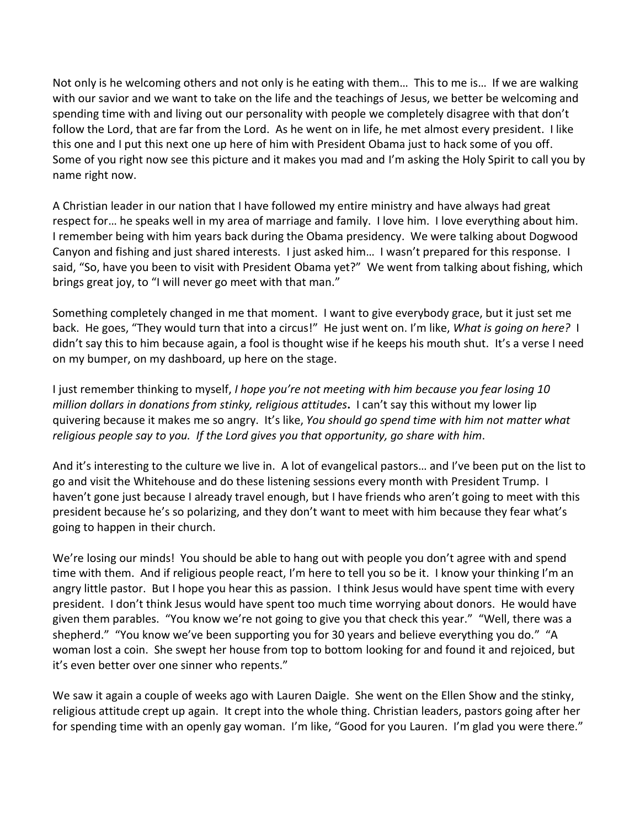Not only is he welcoming others and not only is he eating with them… This to me is… If we are walking with our savior and we want to take on the life and the teachings of Jesus, we better be welcoming and spending time with and living out our personality with people we completely disagree with that don't follow the Lord, that are far from the Lord. As he went on in life, he met almost every president. I like this one and I put this next one up here of him with President Obama just to hack some of you off. Some of you right now see this picture and it makes you mad and I'm asking the Holy Spirit to call you by name right now.

A Christian leader in our nation that I have followed my entire ministry and have always had great respect for… he speaks well in my area of marriage and family. I love him. I love everything about him. I remember being with him years back during the Obama presidency. We were talking about Dogwood Canyon and fishing and just shared interests. I just asked him… I wasn't prepared for this response. I said, "So, have you been to visit with President Obama yet?" We went from talking about fishing, which brings great joy, to "I will never go meet with that man."

Something completely changed in me that moment. I want to give everybody grace, but it just set me back. He goes, "They would turn that into a circus!" He just went on. I'm like, *What is going on here?* I didn't say this to him because again, a fool is thought wise if he keeps his mouth shut. It's a verse I need on my bumper, on my dashboard, up here on the stage.

I just remember thinking to myself, *I hope you're not meeting with him because you fear losing 10 million dollars in donations from stinky, religious attitudes***.** I can't say this without my lower lip quivering because it makes me so angry. It's like, *You should go spend time with him not matter what religious people say to you. If the Lord gives you that opportunity, go share with him*.

And it's interesting to the culture we live in. A lot of evangelical pastors… and I've been put on the list to go and visit the Whitehouse and do these listening sessions every month with President Trump. I haven't gone just because I already travel enough, but I have friends who aren't going to meet with this president because he's so polarizing, and they don't want to meet with him because they fear what's going to happen in their church.

We're losing our minds! You should be able to hang out with people you don't agree with and spend time with them. And if religious people react, I'm here to tell you so be it. I know your thinking I'm an angry little pastor. But I hope you hear this as passion. I think Jesus would have spent time with every president. I don't think Jesus would have spent too much time worrying about donors. He would have given them parables. "You know we're not going to give you that check this year." "Well, there was a shepherd." "You know we've been supporting you for 30 years and believe everything you do." "A woman lost a coin. She swept her house from top to bottom looking for and found it and rejoiced, but it's even better over one sinner who repents."

We saw it again a couple of weeks ago with Lauren Daigle. She went on the Ellen Show and the stinky, religious attitude crept up again. It crept into the whole thing. Christian leaders, pastors going after her for spending time with an openly gay woman. I'm like, "Good for you Lauren. I'm glad you were there."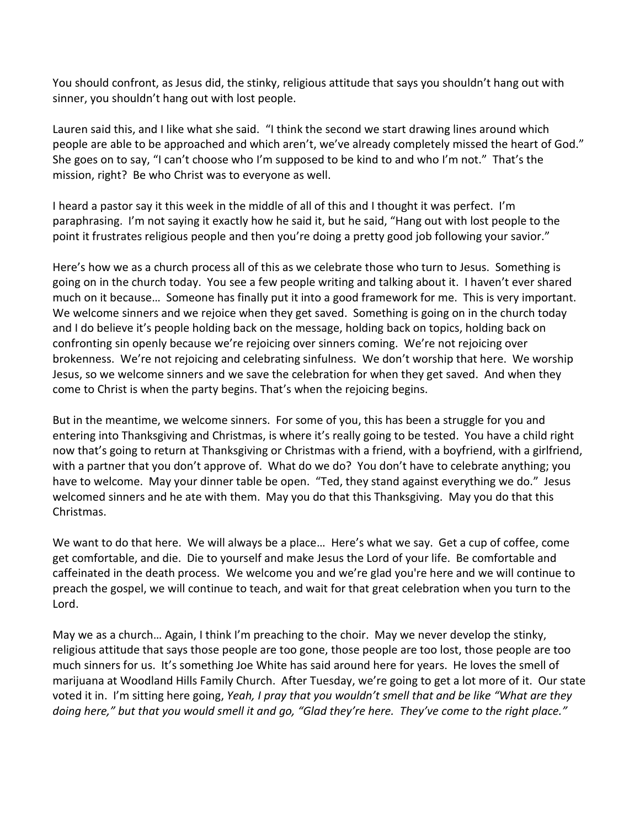You should confront, as Jesus did, the stinky, religious attitude that says you shouldn't hang out with sinner, you shouldn't hang out with lost people.

Lauren said this, and I like what she said. "I think the second we start drawing lines around which people are able to be approached and which aren't, we've already completely missed the heart of God." She goes on to say, "I can't choose who I'm supposed to be kind to and who I'm not." That's the mission, right? Be who Christ was to everyone as well.

I heard a pastor say it this week in the middle of all of this and I thought it was perfect. I'm paraphrasing. I'm not saying it exactly how he said it, but he said, "Hang out with lost people to the point it frustrates religious people and then you're doing a pretty good job following your savior."

Here's how we as a church process all of this as we celebrate those who turn to Jesus. Something is going on in the church today. You see a few people writing and talking about it. I haven't ever shared much on it because… Someone has finally put it into a good framework for me. This is very important. We welcome sinners and we rejoice when they get saved. Something is going on in the church today and I do believe it's people holding back on the message, holding back on topics, holding back on confronting sin openly because we're rejoicing over sinners coming. We're not rejoicing over brokenness. We're not rejoicing and celebrating sinfulness. We don't worship that here. We worship Jesus, so we welcome sinners and we save the celebration for when they get saved. And when they come to Christ is when the party begins. That's when the rejoicing begins.

But in the meantime, we welcome sinners. For some of you, this has been a struggle for you and entering into Thanksgiving and Christmas, is where it's really going to be tested. You have a child right now that's going to return at Thanksgiving or Christmas with a friend, with a boyfriend, with a girlfriend, with a partner that you don't approve of. What do we do? You don't have to celebrate anything; you have to welcome. May your dinner table be open. "Ted, they stand against everything we do." Jesus welcomed sinners and he ate with them. May you do that this Thanksgiving. May you do that this Christmas.

We want to do that here. We will always be a place… Here's what we say. Get a cup of coffee, come get comfortable, and die. Die to yourself and make Jesus the Lord of your life. Be comfortable and caffeinated in the death process. We welcome you and we're glad you're here and we will continue to preach the gospel, we will continue to teach, and wait for that great celebration when you turn to the Lord.

May we as a church… Again, I think I'm preaching to the choir. May we never develop the stinky, religious attitude that says those people are too gone, those people are too lost, those people are too much sinners for us. It's something Joe White has said around here for years. He loves the smell of marijuana at Woodland Hills Family Church. After Tuesday, we're going to get a lot more of it. Our state voted it in. I'm sitting here going, *Yeah, I pray that you wouldn't smell that and be like "What are they doing here," but that you would smell it and go, "Glad they're here. They've come to the right place."*